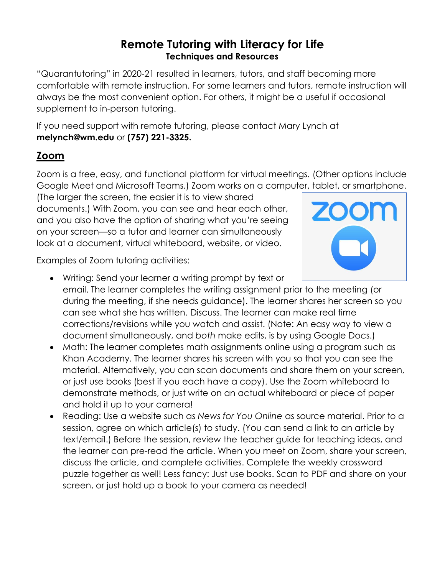#### **Remote Tutoring with Literacy for Life Techniques and Resources**

"Quarantutoring" in 2020-21 resulted in learners, tutors, and staff becoming more comfortable with remote instruction. For some learners and tutors, remote instruction will always be the most convenient option. For others, it might be a useful if occasional supplement to in-person tutoring.

If you need support with remote tutoring, please contact Mary Lynch at **melynch@wm.edu** or **(757) 221-3325.**

## **Zoom**

Zoom is a free, easy, and functional platform for virtual meetings. (Other options include Google Meet and Microsoft Teams.) Zoom works on a computer, tablet, or smartphone.

(The larger the screen, the easier it is to view shared documents.) With Zoom, you can see and hear each other, and you also have the option of sharing what you're seeing on your screen—so a tutor and learner can simultaneously look at a document, virtual whiteboard, website, or video.



Examples of Zoom tutoring activities:

- Writing: Send your learner a writing prompt by text or email. The learner completes the writing assignment prior to the meeting (or during the meeting, if she needs guidance). The learner shares her screen so you can see what she has written. Discuss. The learner can make real time corrections/revisions while you watch and assist. (Note: An easy way to view a document simultaneously, and *both* make edits, is by using Google Docs.)
- Math: The learner completes math assignments online using a program such as Khan Academy. The learner shares his screen with you so that you can see the material. Alternatively, you can scan documents and share them on your screen, or just use books (best if you each have a copy). Use the Zoom whiteboard to demonstrate methods, or just write on an actual whiteboard or piece of paper and hold it up to your camera!
- Reading: Use a website such as *News for You Online* as source material. Prior to a session, agree on which article(s) to study. (You can send a link to an article by text/email.) Before the session, review the teacher guide for teaching ideas, and the learner can pre-read the article. When you meet on Zoom, share your screen, discuss the article, and complete activities. Complete the weekly crossword puzzle together as well! Less fancy: Just use books. Scan to PDF and share on your screen, or just hold up a book to your camera as needed!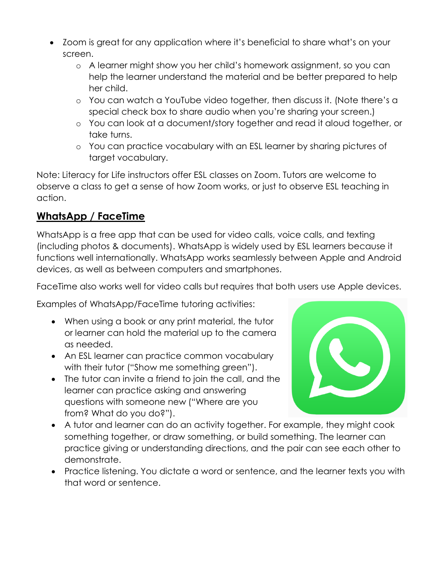- Zoom is great for any application where it's beneficial to share what's on your screen.
	- o A learner might show you her child's homework assignment, so you can help the learner understand the material and be better prepared to help her child.
	- o You can watch a YouTube video together, then discuss it. (Note there's a special check box to share audio when you're sharing your screen.)
	- o You can look at a document/story together and read it aloud together, or take turns.
	- o You can practice vocabulary with an ESL learner by sharing pictures of target vocabulary.

Note: Literacy for Life instructors offer ESL classes on Zoom. Tutors are welcome to observe a class to get a sense of how Zoom works, or just to observe ESL teaching in action.

# **WhatsApp / FaceTime**

WhatsApp is a free app that can be used for video calls, voice calls, and texting (including photos & documents). WhatsApp is widely used by ESL learners because it functions well internationally. WhatsApp works seamlessly between Apple and Android devices, as well as between computers and smartphones.

FaceTime also works well for video calls but requires that both users use Apple devices.

Examples of WhatsApp/FaceTime tutoring activities:

- When using a book or any print material, the tutor or learner can hold the material up to the camera as needed.
- An ESL learner can practice common vocabulary with their tutor ("Show me something green").
- The tutor can invite a friend to join the call, and the learner can practice asking and answering questions with someone new ("Where are you from? What do you do?").



- A tutor and learner can do an activity together. For example, they might cook something together, or draw something, or build something. The learner can practice giving or understanding directions, and the pair can see each other to demonstrate.
- Practice listening. You dictate a word or sentence, and the learner texts you with that word or sentence.